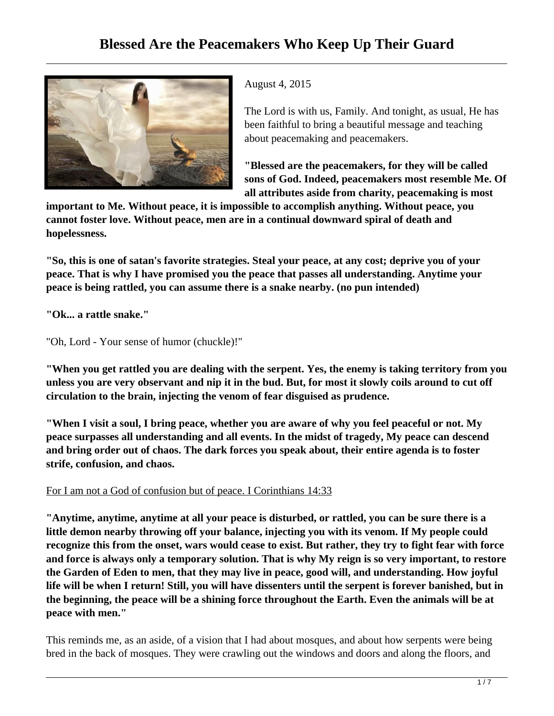

August 4, 2015

The Lord is with us, Family. And tonight, as usual, He has been faithful to bring a beautiful message and teaching about peacemaking and peacemakers.

**"Blessed are the peacemakers, for they will be called sons of God. Indeed, peacemakers most resemble Me. Of all attributes aside from charity, peacemaking is most**

**important to Me. Without peace, it is impossible to accomplish anything. Without peace, you cannot foster love. Without peace, men are in a continual downward spiral of death and hopelessness.**

**"So, this is one of satan's favorite strategies. Steal your peace, at any cost; deprive you of your peace. That is why I have promised you the peace that passes all understanding. Anytime your peace is being rattled, you can assume there is a snake nearby. (no pun intended)**

**"Ok... a rattle snake."**

"Oh, Lord - Your sense of humor (chuckle)!"

**"When you get rattled you are dealing with the serpent. Yes, the enemy is taking territory from you unless you are very observant and nip it in the bud. But, for most it slowly coils around to cut off circulation to the brain, injecting the venom of fear disguised as prudence.**

**"When I visit a soul, I bring peace, whether you are aware of why you feel peaceful or not. My peace surpasses all understanding and all events. In the midst of tragedy, My peace can descend and bring order out of chaos. The dark forces you speak about, their entire agenda is to foster strife, confusion, and chaos.**

For I am not a God of confusion but of peace. I Corinthians 14:33

**"Anytime, anytime, anytime at all your peace is disturbed, or rattled, you can be sure there is a little demon nearby throwing off your balance, injecting you with its venom. If My people could recognize this from the onset, wars would cease to exist. But rather, they try to fight fear with force and force is always only a temporary solution. That is why My reign is so very important, to restore the Garden of Eden to men, that they may live in peace, good will, and understanding. How joyful life will be when I return! Still, you will have dissenters until the serpent is forever banished, but in the beginning, the peace will be a shining force throughout the Earth. Even the animals will be at peace with men."**

This reminds me, as an aside, of a vision that I had about mosques, and about how serpents were being bred in the back of mosques. They were crawling out the windows and doors and along the floors, and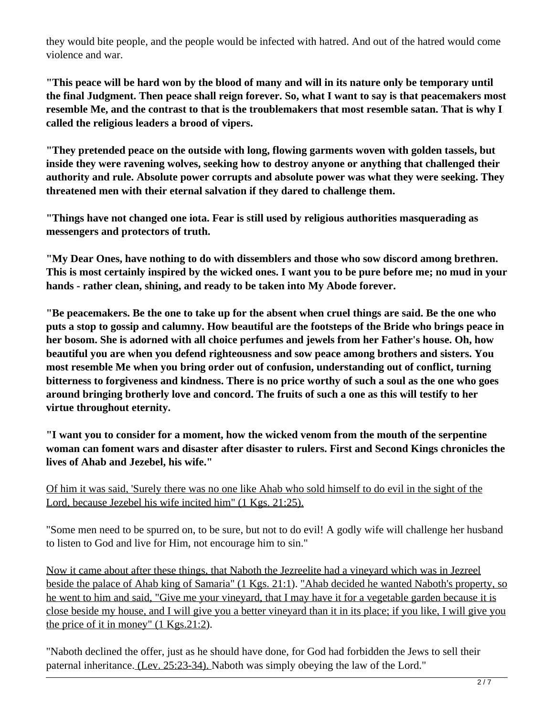they would bite people, and the people would be infected with hatred. And out of the hatred would come violence and war.

**"This peace will be hard won by the blood of many and will in its nature only be temporary until the final Judgment. Then peace shall reign forever. So, what I want to say is that peacemakers most resemble Me, and the contrast to that is the troublemakers that most resemble satan. That is why I called the religious leaders a brood of vipers.**

**"They pretended peace on the outside with long, flowing garments woven with golden tassels, but inside they were ravening wolves, seeking how to destroy anyone or anything that challenged their authority and rule. Absolute power corrupts and absolute power was what they were seeking. They threatened men with their eternal salvation if they dared to challenge them.**

**"Things have not changed one iota. Fear is still used by religious authorities masquerading as messengers and protectors of truth.**

**"My Dear Ones, have nothing to do with dissemblers and those who sow discord among brethren. This is most certainly inspired by the wicked ones. I want you to be pure before me; no mud in your hands - rather clean, shining, and ready to be taken into My Abode forever.**

**"Be peacemakers. Be the one to take up for the absent when cruel things are said. Be the one who puts a stop to gossip and calumny. How beautiful are the footsteps of the Bride who brings peace in her bosom. She is adorned with all choice perfumes and jewels from her Father's house. Oh, how beautiful you are when you defend righteousness and sow peace among brothers and sisters. You most resemble Me when you bring order out of confusion, understanding out of conflict, turning bitterness to forgiveness and kindness. There is no price worthy of such a soul as the one who goes around bringing brotherly love and concord. The fruits of such a one as this will testify to her virtue throughout eternity.**

**"I want you to consider for a moment, how the wicked venom from the mouth of the serpentine woman can foment wars and disaster after disaster to rulers. First and Second Kings chronicles the lives of Ahab and Jezebel, his wife."**

Of him it was said, 'Surely there was no one like Ahab who sold himself to do evil in the sight of the Lord, because Jezebel his wife incited him" (1 Kgs. 21:25).

"Some men need to be spurred on, to be sure, but not to do evil! A godly wife will challenge her husband to listen to God and live for Him, not encourage him to sin."

Now it came about after these things, that Naboth the Jezreelite had a vineyard which was in Jezreel beside the palace of Ahab king of Samaria" (1 Kgs. 21:1). "Ahab decided he wanted Naboth's property, so he went to him and said, "Give me your vineyard, that I may have it for a vegetable garden because it is close beside my house, and I will give you a better vineyard than it in its place; if you like, I will give you the price of it in money"  $(1 \text{ Kgs.} 21:2)$ .

"Naboth declined the offer, just as he should have done, for God had forbidden the Jews to sell their paternal inheritance. (Lev. 25:23-34). Naboth was simply obeying the law of the Lord."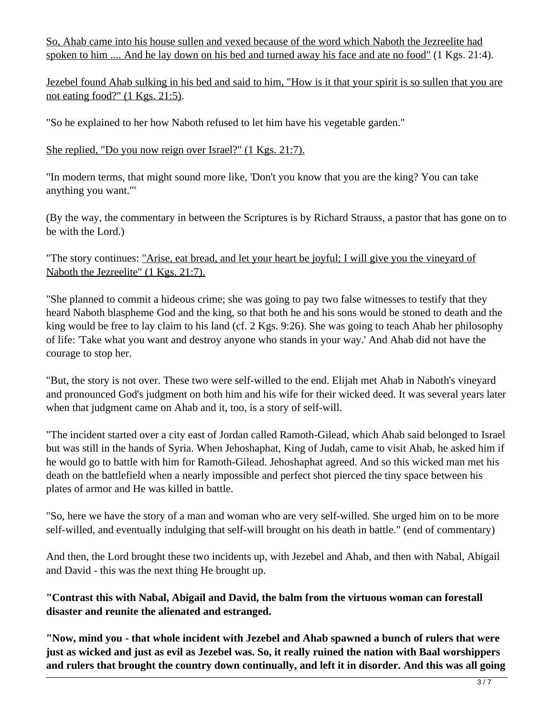So, Ahab came into his house sullen and vexed because of the word which Naboth the Jezreelite had spoken to him .... And he lay down on his bed and turned away his face and ate no food" (1 Kgs. 21:4).

Jezebel found Ahab sulking in his bed and said to him, "How is it that your spirit is so sullen that you are not eating food?" (1 Kgs. 21:5).

"So he explained to her how Naboth refused to let him have his vegetable garden."

## She replied, "Do you now reign over Israel?" (1 Kgs. 21:7).

"In modern terms, that might sound more like, 'Don't you know that you are the king? You can take anything you want."'

(By the way, the commentary in between the Scriptures is by Richard Strauss, a pastor that has gone on to be with the Lord.)

## "The story continues: "Arise, eat bread, and let your heart be joyful; I will give you the vineyard of Naboth the Jezreelite" (1 Kgs. 21:7).

"She planned to commit a hideous crime; she was going to pay two false witnesses to testify that they heard Naboth blaspheme God and the king, so that both he and his sons would be stoned to death and the king would be free to lay claim to his land (cf. 2 Kgs. 9:26). She was going to teach Ahab her philosophy of life: 'Take what you want and destroy anyone who stands in your way.' And Ahab did not have the courage to stop her.

"But, the story is not over. These two were self-willed to the end. Elijah met Ahab in Naboth's vineyard and pronounced God's judgment on both him and his wife for their wicked deed. It was several years later when that judgment came on Ahab and it, too, is a story of self-will.

"The incident started over a city east of Jordan called Ramoth-Gilead, which Ahab said belonged to Israel but was still in the hands of Syria. When Jehoshaphat, King of Judah, came to visit Ahab, he asked him if he would go to battle with him for Ramoth-Gilead. Jehoshaphat agreed. And so this wicked man met his death on the battlefield when a nearly impossible and perfect shot pierced the tiny space between his plates of armor and He was killed in battle.

"So, here we have the story of a man and woman who are very self-willed. She urged him on to be more self-willed, and eventually indulging that self-will brought on his death in battle." (end of commentary)

And then, the Lord brought these two incidents up, with Jezebel and Ahab, and then with Nabal, Abigail and David - this was the next thing He brought up.

## **"Contrast this with Nabal, Abigail and David, the balm from the virtuous woman can forestall disaster and reunite the alienated and estranged.**

**"Now, mind you - that whole incident with Jezebel and Ahab spawned a bunch of rulers that were just as wicked and just as evil as Jezebel was. So, it really ruined the nation with Baal worshippers and rulers that brought the country down continually, and left it in disorder. And this was all going**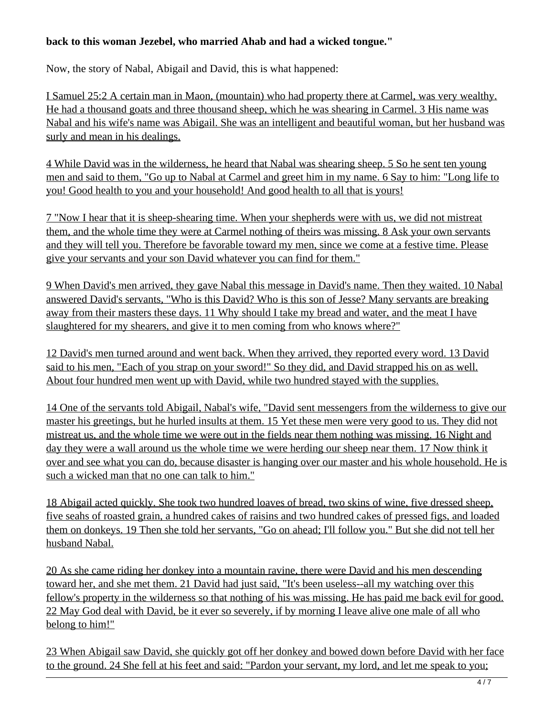## **back to this woman Jezebel, who married Ahab and had a wicked tongue."**

Now, the story of Nabal, Abigail and David, this is what happened:

I Samuel 25:2 A certain man in Maon, (mountain) who had property there at Carmel, was very wealthy. He had a thousand goats and three thousand sheep, which he was shearing in Carmel. 3 His name was Nabal and his wife's name was Abigail. She was an intelligent and beautiful woman, but her husband was surly and mean in his dealings.

4 While David was in the wilderness, he heard that Nabal was shearing sheep. 5 So he sent ten young men and said to them, "Go up to Nabal at Carmel and greet him in my name. 6 Say to him: "Long life to you! Good health to you and your household! And good health to all that is yours!

7 "Now I hear that it is sheep-shearing time. When your shepherds were with us, we did not mistreat them, and the whole time they were at Carmel nothing of theirs was missing. 8 Ask your own servants and they will tell you. Therefore be favorable toward my men, since we come at a festive time. Please give your servants and your son David whatever you can find for them."

9 When David's men arrived, they gave Nabal this message in David's name. Then they waited. 10 Nabal answered David's servants, "Who is this David? Who is this son of Jesse? Many servants are breaking away from their masters these days. 11 Why should I take my bread and water, and the meat I have slaughtered for my shearers, and give it to men coming from who knows where?"

12 David's men turned around and went back. When they arrived, they reported every word. 13 David said to his men, "Each of you strap on your sword!" So they did, and David strapped his on as well. About four hundred men went up with David, while two hundred stayed with the supplies.

14 One of the servants told Abigail, Nabal's wife, "David sent messengers from the wilderness to give our master his greetings, but he hurled insults at them. 15 Yet these men were very good to us. They did not mistreat us, and the whole time we were out in the fields near them nothing was missing. 16 Night and day they were a wall around us the whole time we were herding our sheep near them. 17 Now think it over and see what you can do, because disaster is hanging over our master and his whole household. He is such a wicked man that no one can talk to him."

18 Abigail acted quickly. She took two hundred loaves of bread, two skins of wine, five dressed sheep, five seahs of roasted grain, a hundred cakes of raisins and two hundred cakes of pressed figs, and loaded them on donkeys. 19 Then she told her servants, "Go on ahead; I'll follow you." But she did not tell her husband Nabal.

20 As she came riding her donkey into a mountain ravine, there were David and his men descending toward her, and she met them. 21 David had just said, "It's been useless--all my watching over this fellow's property in the wilderness so that nothing of his was missing. He has paid me back evil for good. 22 May God deal with David, be it ever so severely, if by morning I leave alive one male of all who belong to him!"

23 When Abigail saw David, she quickly got off her donkey and bowed down before David with her face to the ground. 24 She fell at his feet and said: "Pardon your servant, my lord, and let me speak to you;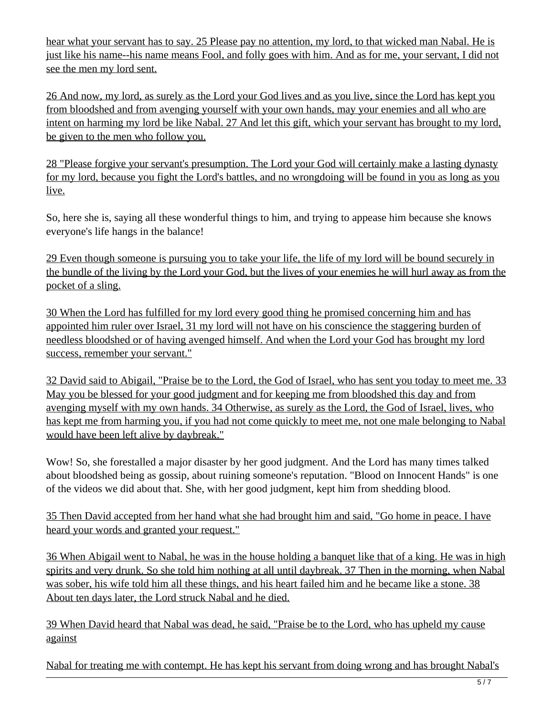hear what your servant has to say. 25 Please pay no attention, my lord, to that wicked man Nabal. He is just like his name--his name means Fool, and folly goes with him. And as for me, your servant, I did not see the men my lord sent.

26 And now, my lord, as surely as the Lord your God lives and as you live, since the Lord has kept you from bloodshed and from avenging yourself with your own hands, may your enemies and all who are intent on harming my lord be like Nabal. 27 And let this gift, which your servant has brought to my lord, be given to the men who follow you.

28 "Please forgive your servant's presumption. The Lord your God will certainly make a lasting dynasty for my lord, because you fight the Lord's battles, and no wrongdoing will be found in you as long as you live.

So, here she is, saying all these wonderful things to him, and trying to appease him because she knows everyone's life hangs in the balance!

29 Even though someone is pursuing you to take your life, the life of my lord will be bound securely in the bundle of the living by the Lord your God, but the lives of your enemies he will hurl away as from the pocket of a sling.

30 When the Lord has fulfilled for my lord every good thing he promised concerning him and has appointed him ruler over Israel, 31 my lord will not have on his conscience the staggering burden of needless bloodshed or of having avenged himself. And when the Lord your God has brought my lord success, remember your servant."

32 David said to Abigail, "Praise be to the Lord, the God of Israel, who has sent you today to meet me. 33 May you be blessed for your good judgment and for keeping me from bloodshed this day and from avenging myself with my own hands. 34 Otherwise, as surely as the Lord, the God of Israel, lives, who has kept me from harming you, if you had not come quickly to meet me, not one male belonging to Nabal would have been left alive by daybreak."

Wow! So, she forestalled a major disaster by her good judgment. And the Lord has many times talked about bloodshed being as gossip, about ruining someone's reputation. "Blood on Innocent Hands" is one of the videos we did about that. She, with her good judgment, kept him from shedding blood.

35 Then David accepted from her hand what she had brought him and said, "Go home in peace. I have heard your words and granted your request."

36 When Abigail went to Nabal, he was in the house holding a banquet like that of a king. He was in high spirits and very drunk. So she told him nothing at all until daybreak. 37 Then in the morning, when Nabal was sober, his wife told him all these things, and his heart failed him and he became like a stone. 38 About ten days later, the Lord struck Nabal and he died.

39 When David heard that Nabal was dead, he said, "Praise be to the Lord, who has upheld my cause against

Nabal for treating me with contempt. He has kept his servant from doing wrong and has brought Nabal's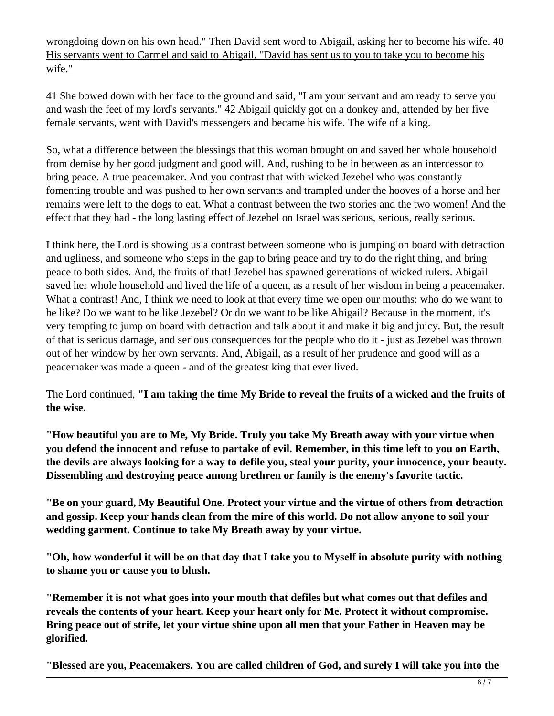wrongdoing down on his own head." Then David sent word to Abigail, asking her to become his wife. 40 His servants went to Carmel and said to Abigail, "David has sent us to you to take you to become his wife."

41 She bowed down with her face to the ground and said, "I am your servant and am ready to serve you and wash the feet of my lord's servants." 42 Abigail quickly got on a donkey and, attended by her five female servants, went with David's messengers and became his wife. The wife of a king.

So, what a difference between the blessings that this woman brought on and saved her whole household from demise by her good judgment and good will. And, rushing to be in between as an intercessor to bring peace. A true peacemaker. And you contrast that with wicked Jezebel who was constantly fomenting trouble and was pushed to her own servants and trampled under the hooves of a horse and her remains were left to the dogs to eat. What a contrast between the two stories and the two women! And the effect that they had - the long lasting effect of Jezebel on Israel was serious, serious, really serious.

I think here, the Lord is showing us a contrast between someone who is jumping on board with detraction and ugliness, and someone who steps in the gap to bring peace and try to do the right thing, and bring peace to both sides. And, the fruits of that! Jezebel has spawned generations of wicked rulers. Abigail saved her whole household and lived the life of a queen, as a result of her wisdom in being a peacemaker. What a contrast! And, I think we need to look at that every time we open our mouths: who do we want to be like? Do we want to be like Jezebel? Or do we want to be like Abigail? Because in the moment, it's very tempting to jump on board with detraction and talk about it and make it big and juicy. But, the result of that is serious damage, and serious consequences for the people who do it - just as Jezebel was thrown out of her window by her own servants. And, Abigail, as a result of her prudence and good will as a peacemaker was made a queen - and of the greatest king that ever lived.

The Lord continued, **"I am taking the time My Bride to reveal the fruits of a wicked and the fruits of the wise.**

**"How beautiful you are to Me, My Bride. Truly you take My Breath away with your virtue when you defend the innocent and refuse to partake of evil. Remember, in this time left to you on Earth, the devils are always looking for a way to defile you, steal your purity, your innocence, your beauty. Dissembling and destroying peace among brethren or family is the enemy's favorite tactic.**

**"Be on your guard, My Beautiful One. Protect your virtue and the virtue of others from detraction and gossip. Keep your hands clean from the mire of this world. Do not allow anyone to soil your wedding garment. Continue to take My Breath away by your virtue.**

**"Oh, how wonderful it will be on that day that I take you to Myself in absolute purity with nothing to shame you or cause you to blush.**

**"Remember it is not what goes into your mouth that defiles but what comes out that defiles and reveals the contents of your heart. Keep your heart only for Me. Protect it without compromise. Bring peace out of strife, let your virtue shine upon all men that your Father in Heaven may be glorified.**

**"Blessed are you, Peacemakers. You are called children of God, and surely I will take you into the**